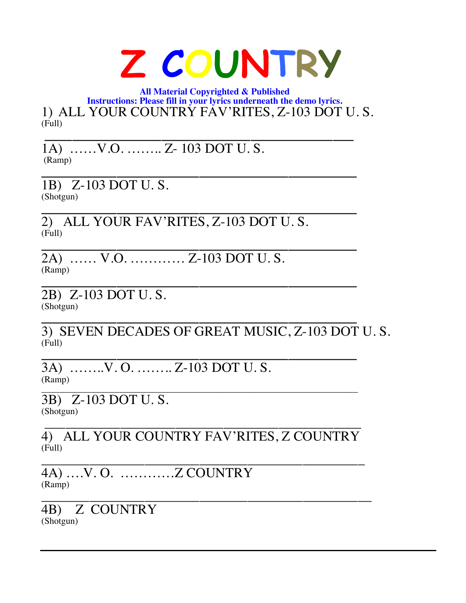## **Z COUNTRY**

 **All Material Copyrighted & Published Instructions: Please fill in your lyrics underneath the demo lyrics.** 1) ALL YOUR COUNTRY FAV'RITES, Z-103 DOT U. S. (Full) **\_\_\_\_\_\_\_\_\_\_\_\_\_\_\_\_\_\_\_\_\_\_\_\_\_\_\_\_\_\_\_\_\_\_\_\_\_\_\_\_\_\_\_\_\_**

1A) ……V.O. …….. Z- 103 DOT U. S. (Ramp) **\_\_\_\_\_\_\_\_\_\_\_\_\_\_\_\_\_\_\_\_\_\_\_\_\_\_\_\_\_\_\_\_\_\_\_\_\_\_\_\_\_\_\_\_\_\_**

1B) Z-103 DOT U. S. (Shotgun) **\_\_\_\_\_\_\_\_\_\_\_\_\_\_\_\_\_\_\_\_\_\_\_\_\_\_\_\_\_\_\_\_\_\_\_\_\_\_\_\_\_\_\_\_\_\_**

2) ALL YOUR FAV'RITES, Z-103 DOT U. S. (Full) **\_\_\_\_\_\_\_\_\_\_\_\_\_\_\_\_\_\_\_\_\_\_\_\_\_\_\_\_\_\_\_\_\_\_\_\_\_\_\_\_\_\_\_\_\_\_**

2A) …… V.O. ………… Z-103 DOT U. S. (Ramp) **\_\_\_\_\_\_\_\_\_\_\_\_\_\_\_\_\_\_\_\_\_\_\_\_\_\_\_\_\_\_\_\_\_\_\_\_\_\_\_\_\_\_\_\_\_\_** 

2B) Z-103 DOT U. S. (Shotgun)

**\_\_\_\_\_\_\_\_\_\_\_\_\_\_\_\_\_\_\_\_\_\_\_\_\_\_\_\_\_\_\_\_\_\_\_\_\_\_\_\_\_\_\_\_\_\_** 3) SEVEN DECADES OF GREAT MUSIC, Z-103 DOT U. S. (Full) **\_\_\_\_\_\_\_\_\_\_\_\_\_\_\_\_\_\_\_\_\_\_\_\_\_\_\_\_\_\_\_\_\_\_\_\_\_\_\_\_\_\_\_\_\_\_**

3A) ……..V. O. …….. Z-103 DOT U. S. (Ramp)

\_\_\_\_\_\_\_\_\_\_\_\_\_\_\_\_\_\_\_\_\_\_\_\_\_\_\_\_\_\_\_\_\_\_\_\_\_\_\_\_\_\_\_\_\_\_\_\_\_\_\_\_\_\_\_\_\_\_\_\_\_\_\_\_\_\_\_\_\_ 3B) Z-103 DOT U. S. (Shotgun)

\_\_\_\_\_\_\_\_\_\_\_\_\_\_\_\_\_\_\_\_\_\_\_\_\_\_\_\_\_\_\_\_\_\_\_\_\_\_\_\_\_\_\_\_\_\_ 4) ALL YOUR COUNTRY FAV'RITES, Z COUNTRY (Full) \_\_\_\_\_\_\_\_\_\_\_\_\_\_\_\_\_\_\_\_\_\_\_\_\_\_\_\_\_\_\_\_\_\_\_\_\_\_\_\_\_\_\_\_\_\_\_

4A) ….V. O. …………Z COUNTRY (Ramp) \_\_\_\_\_\_\_\_\_\_\_\_\_\_\_\_\_\_\_\_\_\_\_\_\_\_\_\_\_\_\_\_\_\_\_\_\_\_\_\_\_\_\_\_\_\_\_\_

4B) Z COUNTRY (Shotgun)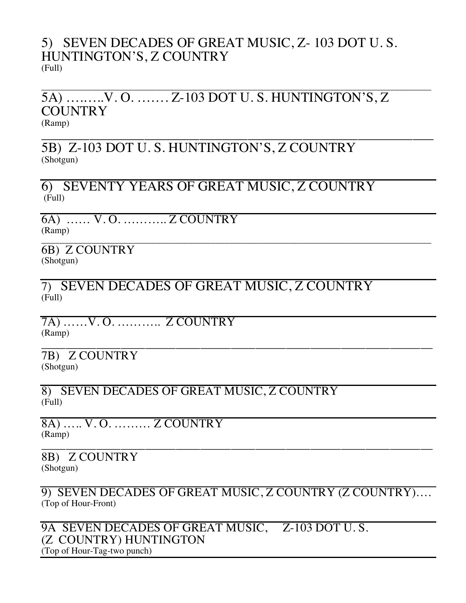## 5) SEVEN DECADES OF GREAT MUSIC, Z- 103 DOT U. S. HUNTINGTON'S, Z COUNTRY (Full)

## \_\_\_\_\_\_\_\_\_\_\_\_\_\_\_\_\_\_\_\_\_\_\_\_\_\_\_\_\_\_\_\_\_\_\_\_\_\_\_\_\_\_\_\_\_\_\_\_\_\_\_\_\_\_\_\_\_\_\_\_\_\_\_\_\_\_\_\_\_\_\_\_\_\_\_\_\_\_\_\_\_\_\_\_\_ 5A) ….…..V. O. ……. Z-103 DOT U. S. HUNTINGTON'S, Z **COUNTRY** (Ramp) \_\_\_\_\_\_\_\_\_\_\_\_\_\_\_\_\_\_\_\_\_\_\_\_\_\_\_\_\_\_\_\_\_\_\_\_\_\_\_\_\_\_\_\_\_\_\_\_\_\_\_\_\_\_\_\_\_

5B) Z-103 DOT U. S. HUNTINGTON'S, Z COUNTRY (Shotgun)

6) SEVENTY YEARS OF GREAT MUSIC, Z COUNTRY (Full)

6A) …… V. O. ……….. Z COUNTRY (Ramp)

\_\_\_\_\_\_\_\_\_\_\_\_\_\_\_\_\_\_\_\_\_\_\_\_\_\_\_\_\_\_\_\_\_\_\_\_\_\_\_\_\_\_\_\_\_\_\_\_\_\_\_\_\_\_\_\_\_\_\_\_\_\_\_\_\_\_\_\_\_\_\_\_\_\_\_\_\_\_\_\_\_\_\_\_\_ 6B) Z COUNTRY (Shotgun)

7) SEVEN DECADES OF GREAT MUSIC, Z COUNTRY (Full)

7A) ……V. O. ……….. Z COUNTRY (Ramp) \_\_\_\_\_\_\_\_\_\_\_\_\_\_\_\_\_\_\_\_\_\_\_\_\_\_\_\_\_\_\_\_\_\_\_\_\_\_\_\_\_\_\_\_\_\_\_\_\_\_\_\_\_\_\_\_\_\_\_\_\_\_\_\_

7B) Z COUNTRY (Shotgun)

8) SEVEN DECADES OF GREAT MUSIC, Z COUNTRY (Full)

8A) ….. V. O. ……… Z COUNTRY (Ramp) \_\_\_\_\_\_\_\_\_\_\_\_\_\_\_\_\_\_\_\_\_\_\_\_\_\_\_\_\_\_\_\_\_\_\_\_\_\_\_\_\_\_\_\_\_\_\_\_\_\_\_\_\_\_\_\_\_\_\_\_\_\_\_\_

8B) Z COUNTRY (Shotgun)

9) SEVEN DECADES OF GREAT MUSIC, Z COUNTRY (Z COUNTRY)…. (Top of Hour-Front)

9A SEVEN DECADES OF GREAT MUSIC, Z-103 DOT U. S. (Z COUNTRY) HUNTINGTON (Top of Hour-Tag-two punch)